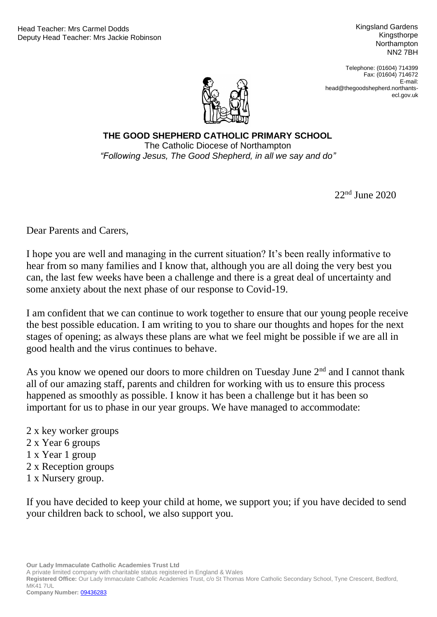Kingsland Gardens Kingsthorpe **Northampton** NN2 7BH

Telephone: (01604) 714399 Fax: (01604) 714672 E-mail: head@thegoodshepherd.northantsecl.gov.uk



"Following Jesus, The Good Shepherd, in all we say and do" **THE GOOD SHEPHERD CATHOLIC PRIMARY SCHOOL** The Catholic Diocese of Northampton

22nd June 2020

Dear Parents and Carers,

I hope you are well and managing in the current situation? It's been really informative to hear from so many families and I know that, although you are all doing the very best you can, the last few weeks have been a challenge and there is a great deal of uncertainty and some anxiety about the next phase of our response to Covid-19.

I am confident that we can continue to work together to ensure that our young people receive the best possible education. I am writing to you to share our thoughts and hopes for the next stages of opening; as always these plans are what we feel might be possible if we are all in good health and the virus continues to behave.

As you know we opened our doors to more children on Tuesday June  $2<sup>nd</sup>$  and I cannot thank all of our amazing staff, parents and children for working with us to ensure this process happened as smoothly as possible. I know it has been a challenge but it has been so important for us to phase in our year groups. We have managed to accommodate:

- 2 x key worker groups 2 x Year 6 groups
- 1 x Year 1 group
- 2 x Reception groups
- 1 x Nursery group.

If you have decided to keep your child at home, we support you; if you have decided to send your children back to school, we also support you.

**Our Lady Immaculate Catholic Academies Trust Ltd**

A private limited company with charitable status registered in England & Wales

**Registered Office:** Our Lady Immaculate Catholic Academies Trust, c/o St Thomas More Catholic Secondary School, Tyne Crescent, Bedford, MK41 7UL